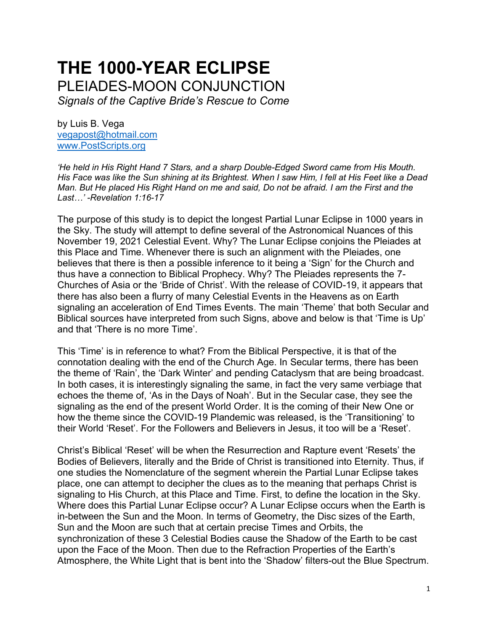# **THE 1000-YEAR ECLIPSE** PLEIADES-MOON CONJUNCTION

*Signals of the Captive Bride's Rescue to Come* 

by Luis B. Vega [vegapost@hotmail.com](mailto:vegapost@hotmail.com) [www.PostScripts.org](http://www.postscripts.org/)

*'He held in His Right Hand 7 Stars, and a sharp Double-Edged Sword came from His Mouth. His Face was like the Sun shining at its Brightest. When I saw Him, I fell at His Feet like a Dead Man. But He placed His Right Hand on me and said, Do not be afraid. I am the First and the Last…' -Revelation 1:16-17*

The purpose of this study is to depict the longest Partial Lunar Eclipse in 1000 years in the Sky. The study will attempt to define several of the Astronomical Nuances of this November 19, 2021 Celestial Event. Why? The Lunar Eclipse conjoins the Pleiades at this Place and Time. Whenever there is such an alignment with the Pleiades, one believes that there is then a possible inference to it being a 'Sign' for the Church and thus have a connection to Biblical Prophecy. Why? The Pleiades represents the 7- Churches of Asia or the 'Bride of Christ'. With the release of COVID-19, it appears that there has also been a flurry of many Celestial Events in the Heavens as on Earth signaling an acceleration of End Times Events. The main 'Theme' that both Secular and Biblical sources have interpreted from such Signs, above and below is that 'Time is Up' and that 'There is no more Time'.

This 'Time' is in reference to what? From the Biblical Perspective, it is that of the connotation dealing with the end of the Church Age. In Secular terms, there has been the theme of 'Rain', the 'Dark Winter' and pending Cataclysm that are being broadcast. In both cases, it is interestingly signaling the same, in fact the very same verbiage that echoes the theme of, 'As in the Days of Noah'. But in the Secular case, they see the signaling as the end of the present World Order. It is the coming of their New One or how the theme since the COVID-19 Plandemic was released, is the 'Transitioning' to their World 'Reset'. For the Followers and Believers in Jesus, it too will be a 'Reset'.

Christ's Biblical 'Reset' will be when the Resurrection and Rapture event 'Resets' the Bodies of Believers, literally and the Bride of Christ is transitioned into Eternity. Thus, if one studies the Nomenclature of the segment wherein the Partial Lunar Eclipse takes place, one can attempt to decipher the clues as to the meaning that perhaps Christ is signaling to His Church, at this Place and Time. First, to define the location in the Sky. Where does this Partial Lunar Eclipse occur? A Lunar Eclipse occurs when the Earth is in-between the Sun and the Moon. In terms of Geometry, the Disc sizes of the Earth, Sun and the Moon are such that at certain precise Times and Orbits, the synchronization of these 3 Celestial Bodies cause the Shadow of the Earth to be cast upon the Face of the Moon. Then due to the Refraction Properties of the Earth's Atmosphere, the White Light that is bent into the 'Shadow' filters-out the Blue Spectrum.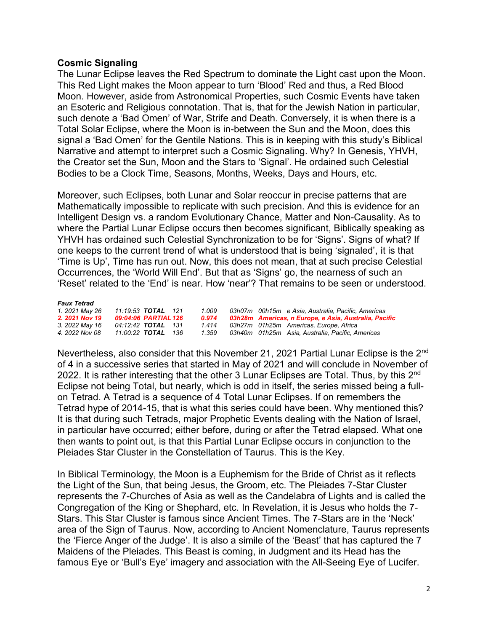### **Cosmic Signaling**

The Lunar Eclipse leaves the Red Spectrum to dominate the Light cast upon the Moon. This Red Light makes the Moon appear to turn 'Blood' Red and thus, a Red Blood Moon. However, aside from Astronomical Properties, such Cosmic Events have taken an Esoteric and Religious connotation. That is, that for the Jewish Nation in particular, such denote a 'Bad Omen' of War, Strife and Death. Conversely, it is when there is a Total Solar Eclipse, where the Moon is in-between the Sun and the Moon, does this signal a 'Bad Omen' for the Gentile Nations. This is in keeping with this study's Biblical Narrative and attempt to interpret such a Cosmic Signaling. Why? In Genesis, YHVH, the Creator set the Sun, Moon and the Stars to 'Signal'. He ordained such Celestial Bodies to be a Clock Time, Seasons, Months, Weeks, Days and Hours, etc.

Moreover, such Eclipses, both Lunar and Solar reoccur in precise patterns that are Mathematically impossible to replicate with such precision. And this is evidence for an Intelligent Design vs. a random Evolutionary Chance, Matter and Non-Causality. As to where the Partial Lunar Eclipse occurs then becomes significant, Biblically speaking as YHVH has ordained such Celestial Synchronization to be for 'Signs'. Signs of what? If one keeps to the current trend of what is understood that is being 'signaled', it is that 'Time is Up', Time has run out. Now, this does not mean, that at such precise Celestial Occurrences, the 'World Will End'. But that as 'Signs' go, the nearness of such an 'Reset' related to the 'End' is near. How 'near'? That remains to be seen or understood.

#### *Faux Tetrad*

| 1. 2021 May 26 | 11:19:53 TOTAL 121        | 1.009 | 03h07m 00h15m e Asia. Australia. Pacific. Americas    |
|----------------|---------------------------|-------|-------------------------------------------------------|
| 2. 2021 Nov 19 | 09:04:06 PARTIAL 126      | 0.974 | 03h28m Americas, n Europe, e Asia, Australia, Pacific |
| 3. 2022 May 16 | 04:12:42 <b>TOTAL</b> 131 | 1.414 | 03h27m 01h25m Americas, Europe, Africa                |
| 4. 2022 Nov 08 | 11:00:22 <b>TOTAL</b> 136 | 1.359 | 03h40m 01h25m Asia, Australia, Pacific, Americas      |
|                |                           |       |                                                       |

Nevertheless, also consider that this November 21, 2021 Partial Lunar Eclipse is the 2<sup>nd</sup> of 4 in a successive series that started in May of 2021 and will conclude in November of 2022. It is rather interesting that the other 3 Lunar Eclipses are Total. Thus, by this 2<sup>nd</sup> Eclipse not being Total, but nearly, which is odd in itself, the series missed being a fullon Tetrad. A Tetrad is a sequence of 4 Total Lunar Eclipses. If on remembers the Tetrad hype of 2014-15, that is what this series could have been. Why mentioned this? It is that during such Tetrads, major Prophetic Events dealing with the Nation of Israel, in particular have occurred; either before, during or after the Tetrad elapsed. What one then wants to point out, is that this Partial Lunar Eclipse occurs in conjunction to the Pleiades Star Cluster in the Constellation of Taurus. This is the Key.

In Biblical Terminology, the Moon is a Euphemism for the Bride of Christ as it reflects the Light of the Sun, that being Jesus, the Groom, etc. The Pleiades 7-Star Cluster represents the 7-Churches of Asia as well as the Candelabra of Lights and is called the Congregation of the King or Shephard, etc. In Revelation, it is Jesus who holds the 7- Stars. This Star Cluster is famous since Ancient Times. The 7-Stars are in the 'Neck' area of the Sign of Taurus. Now, according to Ancient Nomenclature, Taurus represents the 'Fierce Anger of the Judge'. It is also a simile of the 'Beast' that has captured the 7 Maidens of the Pleiades. This Beast is coming, in Judgment and its Head has the famous Eye or 'Bull's Eye' imagery and association with the All-Seeing Eye of Lucifer.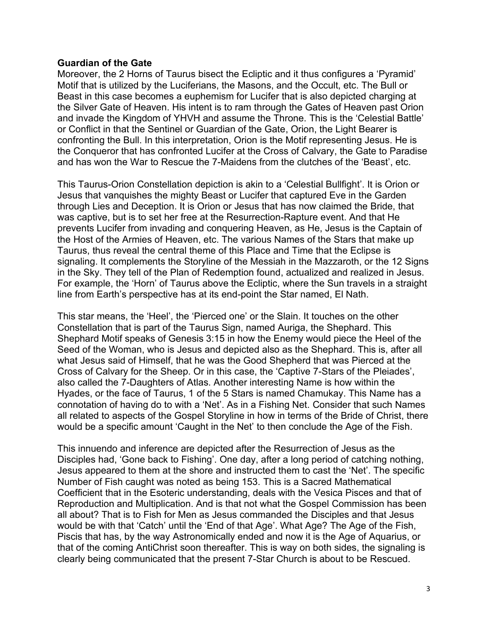#### **Guardian of the Gate**

Moreover, the 2 Horns of Taurus bisect the Ecliptic and it thus configures a 'Pyramid' Motif that is utilized by the Luciferians, the Masons, and the Occult, etc. The Bull or Beast in this case becomes a euphemism for Lucifer that is also depicted charging at the Silver Gate of Heaven. His intent is to ram through the Gates of Heaven past Orion and invade the Kingdom of YHVH and assume the Throne. This is the 'Celestial Battle' or Conflict in that the Sentinel or Guardian of the Gate, Orion, the Light Bearer is confronting the Bull. In this interpretation, Orion is the Motif representing Jesus. He is the Conqueror that has confronted Lucifer at the Cross of Calvary, the Gate to Paradise and has won the War to Rescue the 7-Maidens from the clutches of the 'Beast', etc.

This Taurus-Orion Constellation depiction is akin to a 'Celestial Bullfight'. It is Orion or Jesus that vanquishes the mighty Beast or Lucifer that captured Eve in the Garden through Lies and Deception. It is Orion or Jesus that has now claimed the Bride, that was captive, but is to set her free at the Resurrection-Rapture event. And that He prevents Lucifer from invading and conquering Heaven, as He, Jesus is the Captain of the Host of the Armies of Heaven, etc. The various Names of the Stars that make up Taurus, thus reveal the central theme of this Place and Time that the Eclipse is signaling. It complements the Storyline of the Messiah in the Mazzaroth, or the 12 Signs in the Sky. They tell of the Plan of Redemption found, actualized and realized in Jesus. For example, the 'Horn' of Taurus above the Ecliptic, where the Sun travels in a straight line from Earth's perspective has at its end-point the Star named, El Nath.

This star means, the 'Heel', the 'Pierced one' or the Slain. It touches on the other Constellation that is part of the Taurus Sign, named Auriga, the Shephard. This Shephard Motif speaks of Genesis 3:15 in how the Enemy would piece the Heel of the Seed of the Woman, who is Jesus and depicted also as the Shephard. This is, after all what Jesus said of Himself, that he was the Good Shepherd that was Pierced at the Cross of Calvary for the Sheep. Or in this case, the 'Captive 7-Stars of the Pleiades', also called the 7-Daughters of Atlas. Another interesting Name is how within the Hyades, or the face of Taurus, 1 of the 5 Stars is named Chamukay. This Name has a connotation of having do to with a 'Net'. As in a Fishing Net. Consider that such Names all related to aspects of the Gospel Storyline in how in terms of the Bride of Christ, there would be a specific amount 'Caught in the Net' to then conclude the Age of the Fish.

This innuendo and inference are depicted after the Resurrection of Jesus as the Disciples had, 'Gone back to Fishing'. One day, after a long period of catching nothing, Jesus appeared to them at the shore and instructed them to cast the 'Net'. The specific Number of Fish caught was noted as being 153. This is a Sacred Mathematical Coefficient that in the Esoteric understanding, deals with the Vesica Pisces and that of Reproduction and Multiplication. And is that not what the Gospel Commission has been all about? That is to Fish for Men as Jesus commanded the Disciples and that Jesus would be with that 'Catch' until the 'End of that Age'. What Age? The Age of the Fish, Piscis that has, by the way Astronomically ended and now it is the Age of Aquarius, or that of the coming AntiChrist soon thereafter. This is way on both sides, the signaling is clearly being communicated that the present 7-Star Church is about to be Rescued.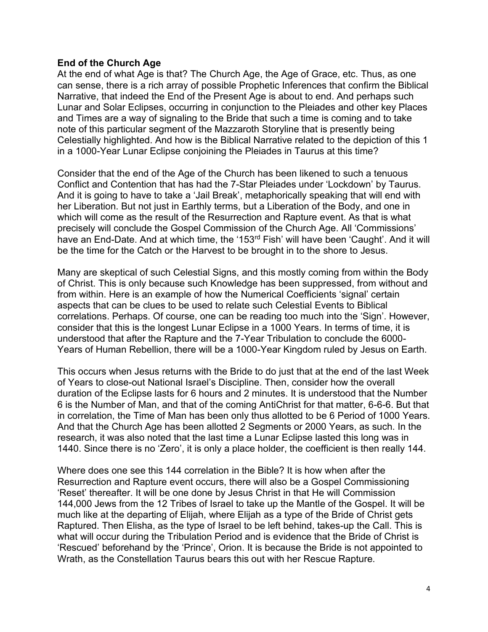#### **End of the Church Age**

At the end of what Age is that? The Church Age, the Age of Grace, etc. Thus, as one can sense, there is a rich array of possible Prophetic Inferences that confirm the Biblical Narrative, that indeed the End of the Present Age is about to end. And perhaps such Lunar and Solar Eclipses, occurring in conjunction to the Pleiades and other key Places and Times are a way of signaling to the Bride that such a time is coming and to take note of this particular segment of the Mazzaroth Storyline that is presently being Celestially highlighted. And how is the Biblical Narrative related to the depiction of this 1 in a 1000-Year Lunar Eclipse conjoining the Pleiades in Taurus at this time?

Consider that the end of the Age of the Church has been likened to such a tenuous Conflict and Contention that has had the 7-Star Pleiades under 'Lockdown' by Taurus. And it is going to have to take a 'Jail Break', metaphorically speaking that will end with her Liberation. But not just in Earthly terms, but a Liberation of the Body, and one in which will come as the result of the Resurrection and Rapture event. As that is what precisely will conclude the Gospel Commission of the Church Age. All 'Commissions' have an End-Date. And at which time, the '153<sup>rd</sup> Fish' will have been 'Caught'. And it will be the time for the Catch or the Harvest to be brought in to the shore to Jesus.

Many are skeptical of such Celestial Signs, and this mostly coming from within the Body of Christ. This is only because such Knowledge has been suppressed, from without and from within. Here is an example of how the Numerical Coefficients 'signal' certain aspects that can be clues to be used to relate such Celestial Events to Biblical correlations. Perhaps. Of course, one can be reading too much into the 'Sign'. However, consider that this is the longest Lunar Eclipse in a 1000 Years. In terms of time, it is understood that after the Rapture and the 7-Year Tribulation to conclude the 6000- Years of Human Rebellion, there will be a 1000-Year Kingdom ruled by Jesus on Earth.

This occurs when Jesus returns with the Bride to do just that at the end of the last Week of Years to close-out National Israel's Discipline. Then, consider how the overall duration of the Eclipse lasts for 6 hours and 2 minutes. It is understood that the Number 6 is the Number of Man, and that of the coming AntiChrist for that matter, 6-6-6. But that in correlation, the Time of Man has been only thus allotted to be 6 Period of 1000 Years. And that the Church Age has been allotted 2 Segments or 2000 Years, as such. In the research, it was also noted that the last time a Lunar Eclipse lasted this long was in 1440. Since there is no 'Zero', it is only a place holder, the coefficient is then really 144.

Where does one see this 144 correlation in the Bible? It is how when after the Resurrection and Rapture event occurs, there will also be a Gospel Commissioning 'Reset' thereafter. It will be one done by Jesus Christ in that He will Commission 144,000 Jews from the 12 Tribes of Israel to take up the Mantle of the Gospel. It will be much like at the departing of Elijah, where Elijah as a type of the Bride of Christ gets Raptured. Then Elisha, as the type of Israel to be left behind, takes-up the Call. This is what will occur during the Tribulation Period and is evidence that the Bride of Christ is 'Rescued' beforehand by the 'Prince', Orion. It is because the Bride is not appointed to Wrath, as the Constellation Taurus bears this out with her Rescue Rapture.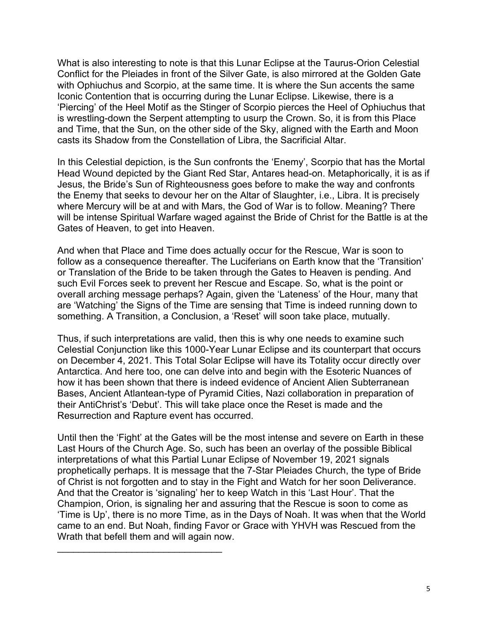What is also interesting to note is that this Lunar Eclipse at the Taurus-Orion Celestial Conflict for the Pleiades in front of the Silver Gate, is also mirrored at the Golden Gate with Ophiuchus and Scorpio, at the same time. It is where the Sun accents the same Iconic Contention that is occurring during the Lunar Eclipse. Likewise, there is a 'Piercing' of the Heel Motif as the Stinger of Scorpio pierces the Heel of Ophiuchus that is wrestling-down the Serpent attempting to usurp the Crown. So, it is from this Place and Time, that the Sun, on the other side of the Sky, aligned with the Earth and Moon casts its Shadow from the Constellation of Libra, the Sacrificial Altar.

In this Celestial depiction, is the Sun confronts the 'Enemy', Scorpio that has the Mortal Head Wound depicted by the Giant Red Star, Antares head-on. Metaphorically, it is as if Jesus, the Bride's Sun of Righteousness goes before to make the way and confronts the Enemy that seeks to devour her on the Altar of Slaughter, i.e., Libra. It is precisely where Mercury will be at and with Mars, the God of War is to follow. Meaning? There will be intense Spiritual Warfare waged against the Bride of Christ for the Battle is at the Gates of Heaven, to get into Heaven.

And when that Place and Time does actually occur for the Rescue, War is soon to follow as a consequence thereafter. The Luciferians on Earth know that the 'Transition' or Translation of the Bride to be taken through the Gates to Heaven is pending. And such Evil Forces seek to prevent her Rescue and Escape. So, what is the point or overall arching message perhaps? Again, given the 'Lateness' of the Hour, many that are 'Watching' the Signs of the Time are sensing that Time is indeed running down to something. A Transition, a Conclusion, a 'Reset' will soon take place, mutually.

Thus, if such interpretations are valid, then this is why one needs to examine such Celestial Conjunction like this 1000-Year Lunar Eclipse and its counterpart that occurs on December 4, 2021. This Total Solar Eclipse will have its Totality occur directly over Antarctica. And here too, one can delve into and begin with the Esoteric Nuances of how it has been shown that there is indeed evidence of Ancient Alien Subterranean Bases, Ancient Atlantean-type of Pyramid Cities, Nazi collaboration in preparation of their AntiChrist's 'Debut'. This will take place once the Reset is made and the Resurrection and Rapture event has occurred.

Until then the 'Fight' at the Gates will be the most intense and severe on Earth in these Last Hours of the Church Age. So, such has been an overlay of the possible Biblical interpretations of what this Partial Lunar Eclipse of November 19, 2021 signals prophetically perhaps. It is message that the 7-Star Pleiades Church, the type of Bride of Christ is not forgotten and to stay in the Fight and Watch for her soon Deliverance. And that the Creator is 'signaling' her to keep Watch in this 'Last Hour'. That the Champion, Orion, is signaling her and assuring that the Rescue is soon to come as 'Time is Up', there is no more Time, as in the Days of Noah. It was when that the World came to an end. But Noah, finding Favor or Grace with YHVH was Rescued from the Wrath that befell them and will again now.

 $\mathcal{L}_\text{max}$  , where  $\mathcal{L}_\text{max}$  , we have the set of the set of the set of the set of the set of the set of the set of the set of the set of the set of the set of the set of the set of the set of the set of the set of